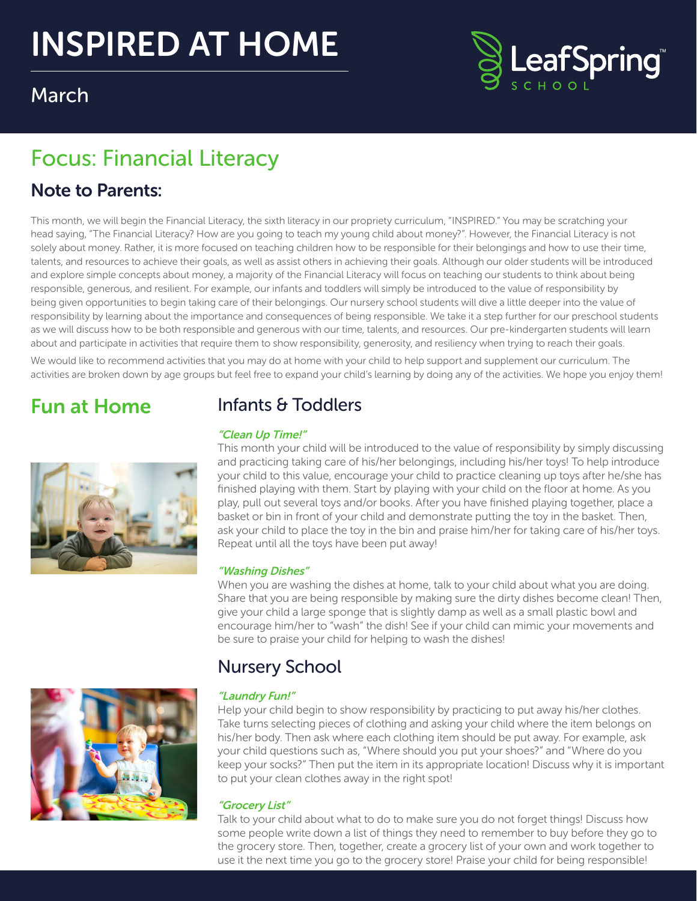# INSPIRED AT HOME



# March

# Focus: Financial Literacy

# Note to Parents:

This month, we will begin the Financial Literacy, the sixth literacy in our propriety curriculum, "INSPIRED." You may be scratching your head saying, "The Financial Literacy? How are you going to teach my young child about money?". However, the Financial Literacy is not solely about money. Rather, it is more focused on teaching children how to be responsible for their belongings and how to use their time, talents, and resources to achieve their goals, as well as assist others in achieving their goals. Although our older students will be introduced and explore simple concepts about money, a majority of the Financial Literacy will focus on teaching our students to think about being responsible, generous, and resilient. For example, our infants and toddlers will simply be introduced to the value of responsibility by being given opportunities to begin taking care of their belongings. Our nursery school students will dive a little deeper into the value of responsibility by learning about the importance and consequences of being responsible. We take it a step further for our preschool students as we will discuss how to be both responsible and generous with our time, talents, and resources. Our pre-kindergarten students will learn about and participate in activities that require them to show responsibility, generosity, and resiliency when trying to reach their goals.

We would like to recommend activities that you may do at home with your child to help support and supplement our curriculum. The activities are broken down by age groups but feel free to expand your child's learning by doing any of the activities. We hope you enjoy them!

# Fun at Home



# Infants & Toddlers

#### "Clean Up Time!"

This month your child will be introduced to the value of responsibility by simply discussing and practicing taking care of his/her belongings, including his/her toys! To help introduce your child to this value, encourage your child to practice cleaning up toys after he/she has finished playing with them. Start by playing with your child on the floor at home. As you play, pull out several toys and/or books. After you have finished playing together, place a basket or bin in front of your child and demonstrate putting the toy in the basket. Then, ask your child to place the toy in the bin and praise him/her for taking care of his/her toys. Repeat until all the toys have been put away!

#### "Washing Dishes"

When you are washing the dishes at home, talk to your child about what you are doing. Share that you are being responsible by making sure the dirty dishes become clean! Then, give your child a large sponge that is slightly damp as well as a small plastic bowl and encourage him/her to "wash" the dish! See if your child can mimic your movements and be sure to praise your child for helping to wash the dishes!



# Nursery School

#### "Laundry Fun!"

Help your child begin to show responsibility by practicing to put away his/her clothes. Take turns selecting pieces of clothing and asking your child where the item belongs on his/her body. Then ask where each clothing item should be put away. For example, ask your child questions such as, "Where should you put your shoes?" and "Where do you keep your socks?" Then put the item in its appropriate location! Discuss why it is important to put your clean clothes away in the right spot!

#### "Grocery List"

Talk to your child about what to do to make sure you do not forget things! Discuss how some people write down a list of things they need to remember to buy before they go to the grocery store. Then, together, create a grocery list of your own and work together to use it the next time you go to the grocery store! Praise your child for being responsible!